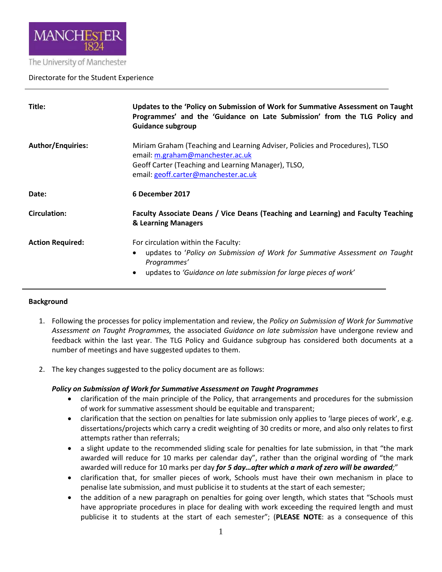

#### The University of Manchester

### Directorate for the Student Experience

| Title:                   | Updates to the 'Policy on Submission of Work for Summative Assessment on Taught<br>Programmes' and the 'Guidance on Late Submission' from the TLG Policy and<br><b>Guidance subgroup</b>                                         |  |
|--------------------------|----------------------------------------------------------------------------------------------------------------------------------------------------------------------------------------------------------------------------------|--|
| <b>Author/Enquiries:</b> | Miriam Graham (Teaching and Learning Adviser, Policies and Procedures), TLSO<br>email: m.graham@manchester.ac.uk<br>Geoff Carter (Teaching and Learning Manager), TLSO,<br>email: geoff.carter@manchester.ac.uk                  |  |
| Date:                    | 6 December 2017                                                                                                                                                                                                                  |  |
| <b>Circulation:</b>      | Faculty Associate Deans / Vice Deans (Teaching and Learning) and Faculty Teaching<br>& Learning Managers                                                                                                                         |  |
| <b>Action Required:</b>  | For circulation within the Faculty:<br>updates to 'Policy on Submission of Work for Summative Assessment on Taught<br>$\bullet$<br>Programmes'<br>updates to 'Guidance on late submission for large pieces of work'<br>$\bullet$ |  |

#### **Background**

- 1. Following the processes for policy implementation and review, the *Policy on Submission of Work for Summative Assessment on Taught Programmes,* the associated *Guidance on late submission* have undergone review and feedback within the last year. The TLG Policy and Guidance subgroup has considered both documents at a number of meetings and have suggested updates to them.
- 2. The key changes suggested to the policy document are as follows:

### *Policy on Submission of Work for Summative Assessment on Taught Programmes*

- clarification of the main principle of the Policy, that arrangements and procedures for the submission of work for summative assessment should be equitable and transparent;
- clarification that the section on penalties for late submission only applies to 'large pieces of work', e.g. dissertations/projects which carry a credit weighting of 30 credits or more, and also only relates to first attempts rather than referrals;
- a slight update to the recommended sliding scale for penalties for late submission, in that "the mark awarded will reduce for 10 marks per calendar day", rather than the original wording of "the mark awarded will reduce for 10 marks per day *for 5 day…after which a mark of zero will be awarded;*"
- clarification that, for smaller pieces of work, Schools must have their own mechanism in place to penalise late submission, and must publicise it to students at the start of each semester;
- the addition of a new paragraph on penalties for going over length, which states that "Schools must" have appropriate procedures in place for dealing with work exceeding the required length and must publicise it to students at the start of each semester"; (**PLEASE NOTE**: as a consequence of this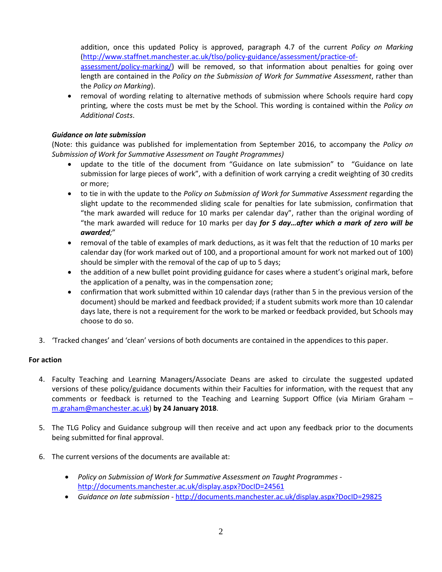addition, once this updated Policy is approved, paragraph 4.7 of the current *Policy on Marking* [\(http://www.staffnet.manchester.ac.uk/tlso/policy-guidance/assessment/practice-of-](http://www.staffnet.manchester.ac.uk/tlso/policy-guidance/assessment/practice-of-assessment/policy-marking/)

[assessment/policy-marking/\)](http://www.staffnet.manchester.ac.uk/tlso/policy-guidance/assessment/practice-of-assessment/policy-marking/) will be removed, so that information about penalties for going over length are contained in the *Policy on the Submission of Work for Summative Assessment*, rather than the *Policy on Marking*).

• removal of wording relating to alternative methods of submission where Schools require hard copy printing, where the costs must be met by the School. This wording is contained within the *Policy on Additional Costs*.

## *Guidance on late submission*

(Note: this guidance was published for implementation from September 2016, to accompany the *Policy on Submission of Work for Summative Assessment on Taught Programmes)*

- update to the title of the document from "Guidance on late submission" to "Guidance on late submission for large pieces of work", with a definition of work carrying a credit weighting of 30 credits or more;
- to tie in with the update to the *Policy on Submission of Work for Summative Assessment* regarding the slight update to the recommended sliding scale for penalties for late submission, confirmation that "the mark awarded will reduce for 10 marks per calendar day", rather than the original wording of "the mark awarded will reduce for 10 marks per day *for 5 day…after which a mark of zero will be awarded;*"
- removal of the table of examples of mark deductions, as it was felt that the reduction of 10 marks per calendar day (for work marked out of 100, and a proportional amount for work not marked out of 100) should be simpler with the removal of the cap of up to 5 days;
- the addition of a new bullet point providing guidance for cases where a student's original mark, before the application of a penalty, was in the compensation zone;
- confirmation that work submitted within 10 calendar days (rather than 5 in the previous version of the document) should be marked and feedback provided; if a student submits work more than 10 calendar days late, there is not a requirement for the work to be marked or feedback provided, but Schools may choose to do so.
- 3. 'Tracked changes' and 'clean' versions of both documents are contained in the appendices to this paper.

### **For action**

- 4. Faculty Teaching and Learning Managers/Associate Deans are asked to circulate the suggested updated versions of these policy/guidance documents within their Faculties for information, with the request that any comments or feedback is returned to the Teaching and Learning Support Office (via Miriam Graham – [m.graham@manchester.ac.uk\)](mailto:m.graham@manchester.ac.uk) **by 24 January 2018**.
- 5. The TLG Policy and Guidance subgroup will then receive and act upon any feedback prior to the documents being submitted for final approval.
- 6. The current versions of the documents are available at:
	- *Policy on Submission of Work for Summative Assessment on Taught Programmes* <http://documents.manchester.ac.uk/display.aspx?DocID=24561>
	- *Guidance on late submission* <http://documents.manchester.ac.uk/display.aspx?DocID=29825>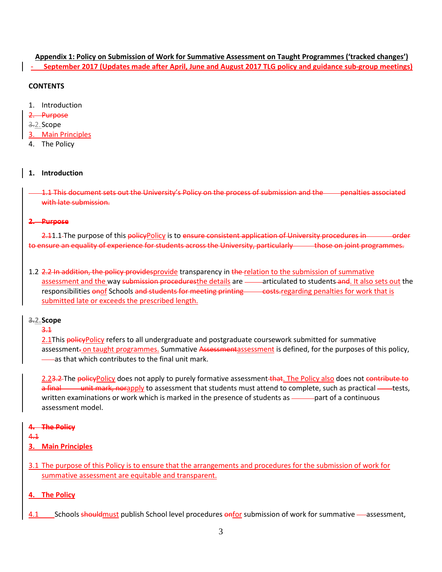# **Appendix 1: Policy on Submission of Work for Summative Assessment on Taught Programmes ('tracked changes')**

- **September 2017 (Updates made after April, June and August 2017 TLG policy and guidance sub-group meetings)**

## **CONTENTS**

- 1. Introduction
- 2. Purpose
- 3.2.Scope
- 3. Main Principles
- 4. The Policy

## **1. Introduction**

1.1 This document sets out the University's Policy on the process of submission and the penalties associated with late submission.

### **2. Purpose**

2.11.1 The purpose of this policyPolicy is to ensure consistent application of University procedures in **order** to ensure an equality of experience for students across the University, particularly those on joint programmes.

1.2 2.2 In addition, the policy providesprovide transparency in the relation to the submission of summative assessment and the way submission proceduresthe details are -articulated to students and. It also sets out the responsibilities onof Schools and students for meeting printing costs.regarding penalties for work that is submitted late or exceeds the prescribed length.

### **3.2.Scope**

3.1

2.1This policyPolicy refers to all undergraduate and postgraduate coursework submitted for summative assessment-on taught programmes. Summative Assessmentassessment is defined, for the purposes of this policy, as that which contributes to the final unit mark.

2.23.2 The policyPolicy does not apply to purely formative assessment that. The Policy also does not contribute to a final unit mark, norapply to assessment that students must attend to complete, such as practical — tests, written examinations or work which is marked in the presence of students as —— part of a continuous assessment model.

### **4. The Policy**

4.1

- **3. Main Principles**
- 3.1 The purpose of this Policy is to ensure that the arrangements and procedures for the submission of work for summative assessment are equitable and transparent.

## **4. The Policy**

4.1 Schools should must publish School level procedures onfor submission of work for summative — assessment,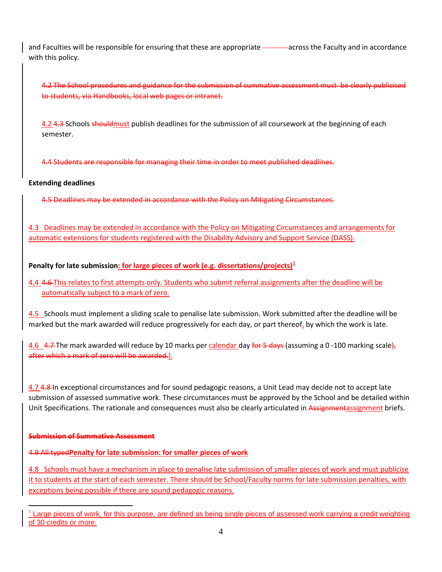and Faculties will be responsible for ensuring that these are appropriate - across the Faculty and in accordance with this policy.

4.2 The School procedures and guidance for the submission of summative assessment must be clearly publicised to students, via Handbooks, local web pages or intranet.

4.2 4.3 Schools shouldmust publish deadlines for the submission of all coursework at the beginning of each semester.

4.4 Students are responsible for managing their time in order to meet published deadlines.

## **Extending deadlines**

4.5 Deadlines may be extended in accordance with the Policy on Mitigating Circumstances.

4.3 Deadlines may be extended in accordance with th[e Policy on Mitigating Circumstances](http://www.staffnet.manchester.ac.uk/tlso/policy-guidance/assessment/reaching-decisions-from-assessment/mitigating-circumstances/) and arrangements for automatic extensions for students registered with the Disability Advisory and Support Service (DASS).

# **Penalty for late submission: for large pieces of work (e.g. dissertations/projects)[1](#page-3-0)**

4.4 4.6 This relates to first attempts only. Students who submit referral assignments after the deadline will be automatically subject to a mark of zero.

4.5 Schools must implement a sliding scale to penalise late submission. Work submitted after the deadline will be marked but the mark awarded will reduce progressively for each day, or part thereof, by which the work is late.

4.6 4.7 The mark awarded will reduce by 10 marks per calendar day for 5 days (assuming a 0 -100 marking scale), after which a mark of zero will be awarded.).

4.7 4.8 In exceptional circumstances and for sound pedagogic reasons, a Unit Lead may decide not to accept late submission of assessed summative work. These circumstances must be approved by the School and be detailed within Unit Specifications. The rationale and consequences must also be clearly articulated in Assignmentassignment briefs.

### **Submission of Summative Assessment**

4.9 All typed**Penalty for late submission: for smaller pieces of work**

4.8 Schools must have a mechanism in place to penalise late submission of smaller pieces of work and must publicise it to students at the start of each semester. There should be School/Faculty norms for late submission penalties, with exceptions being possible if there are sound pedagogic reasons.

<span id="page-3-0"></span>Large pieces of work, for this purpose, are defined as being single pieces of assessed work carrying a credit weighting of 30 credits or more.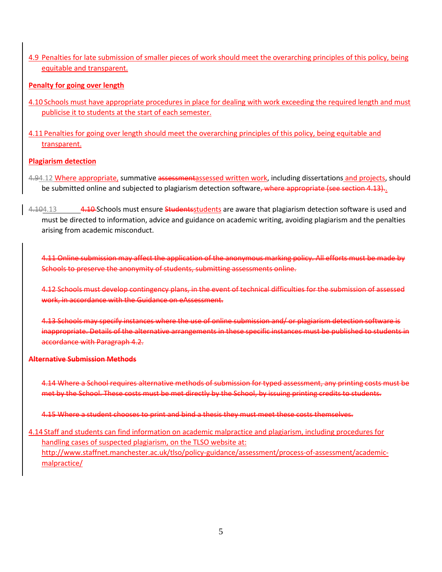4.9 Penalties for late submission of smaller pieces of work should meet the overarching principles of this policy, being equitable and transparent.

## **Penalty for going over length**

- 4.10 Schools must have appropriate procedures in place for dealing with work exceeding the required length and must publicise it to students at the start of each semester.
- 4.11 Penalties for going over length should meet the overarching principles of this policy, being equitable and transparent.

## **Plagiarism detection**

- 4.94.12 Where appropriate, summative assessmentassessed written work, including dissertations and projects, should be submitted online and subjected to plagiarism detection software, where appropriate (see section 4.13).
- 4.104.13 4.104.13 4.10 Schools must ensure Studentsstudents are aware that plagiarism detection software is used and must be directed to information, advice and guidance on academic writing, avoiding plagiarism and the penalties arising from academic misconduct.

4.11 Online submission may affect the application of the anonymous marking policy. All efforts must be made by Schools to preserve the anonymity of students, submitting assessments online.

4.12 Schools must develop contingency plans, in the event of technical difficulties for the submission of assessed work, in accordance with the Guidance on eAssessment.

4.13 Schools may specify instances where the use of online submission and/ or plagiarism detection software is inappropriate. Details of the alternative arrangements in these specific instances must be published to students in accordance with Paragraph 4.2.

### **Alternative Submission Methods**

4.14 Where a School requires alternative methods of submission for typed assessment, any printing costs must be met by the School. These costs must be met directly by the School, by issuing printing credits to students.

4.15 Where a student chooses to print and bind a thesis they must meet these costs themselves.

4.14 Staff and students can find information on academic malpractice and plagiarism, including procedures for handling cases of suspected plagiarism, on the TLSO website at: http://www.staffnet.manchester.ac.uk/tlso/policy-guidance/assessment/process-of-assessment/academicmalpractice/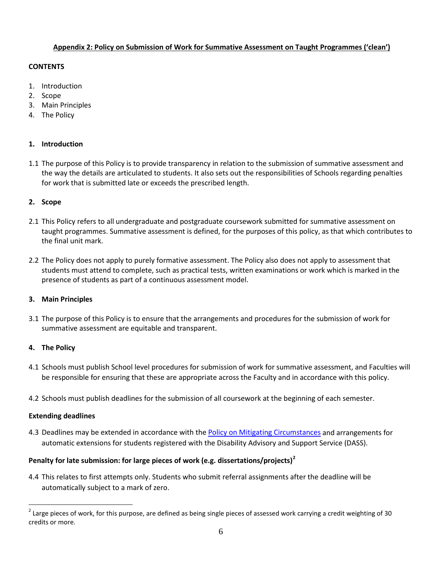### **Appendix 2: Policy on Submission of Work for Summative Assessment on Taught Programmes ('clean')**

### **CONTENTS**

- 1. Introduction
- 2. Scope
- 3. Main Principles
- 4. The Policy

## **1. Introduction**

1.1 The purpose of this Policy is to provide transparency in relation to the submission of summative assessment and the way the details are articulated to students. It also sets out the responsibilities of Schools regarding penalties for work that is submitted late or exceeds the prescribed length.

### **2. Scope**

- 2.1 This Policy refers to all undergraduate and postgraduate coursework submitted for summative assessment on taught programmes. Summative assessment is defined, for the purposes of this policy, as that which contributes to the final unit mark.
- 2.2 The Policy does not apply to purely formative assessment. The Policy also does not apply to assessment that students must attend to complete, such as practical tests, written examinations or work which is marked in the presence of students as part of a continuous assessment model.

### **3. Main Principles**

3.1 The purpose of this Policy is to ensure that the arrangements and procedures for the submission of work for summative assessment are equitable and transparent.

## **4. The Policy**

- 4.1 Schools must publish School level procedures for submission of work for summative assessment, and Faculties will be responsible for ensuring that these are appropriate across the Faculty and in accordance with this policy.
- 4.2 Schools must publish deadlines for the submission of all coursework at the beginning of each semester.

### **Extending deadlines**

4.3 Deadlines may be extended in accordance with th[e Policy on Mitigating Circumstances](http://www.staffnet.manchester.ac.uk/tlso/policy-guidance/assessment/reaching-decisions-from-assessment/mitigating-circumstances/) and arrangements for automatic extensions for students registered with the Disability Advisory and Support Service (DASS).

## **Penalty for late submission: for large pieces of work (e.g. dissertations/projects)[2](#page-5-0)**

4.4 This relates to first attempts only. Students who submit referral assignments after the deadline will be automatically subject to a mark of zero.

<span id="page-5-0"></span> $2$  Large pieces of work, for this purpose, are defined as being single pieces of assessed work carrying a credit weighting of 30 credits or more.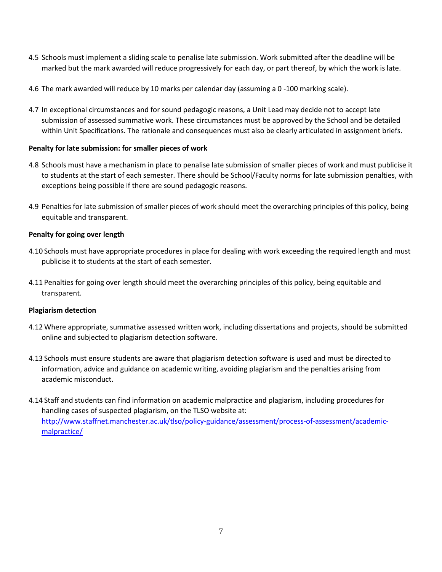- 4.5 Schools must implement a sliding scale to penalise late submission. Work submitted after the deadline will be marked but the mark awarded will reduce progressively for each day, or part thereof, by which the work is late.
- 4.6 The mark awarded will reduce by 10 marks per calendar day (assuming a 0 -100 marking scale).
- 4.7 In exceptional circumstances and for sound pedagogic reasons, a Unit Lead may decide not to accept late submission of assessed summative work. These circumstances must be approved by the School and be detailed within Unit Specifications. The rationale and consequences must also be clearly articulated in assignment briefs.

## **Penalty for late submission: for smaller pieces of work**

- 4.8 Schools must have a mechanism in place to penalise late submission of smaller pieces of work and must publicise it to students at the start of each semester. There should be School/Faculty norms for late submission penalties, with exceptions being possible if there are sound pedagogic reasons.
- 4.9 Penalties for late submission of smaller pieces of work should meet the overarching principles of this policy, being equitable and transparent.

## **Penalty for going over length**

- 4.10 Schools must have appropriate procedures in place for dealing with work exceeding the required length and must publicise it to students at the start of each semester.
- 4.11 Penalties for going over length should meet the overarching principles of this policy, being equitable and transparent.

### **Plagiarism detection**

- 4.12 Where appropriate, summative assessed written work, including dissertations and projects, should be submitted online and subjected to plagiarism detection software.
- 4.13 Schools must ensure students are aware that plagiarism detection software is used and must be directed to information, advice and guidance on academic writing, avoiding plagiarism and the penalties arising from academic misconduct.
- 4.14 Staff and students can find information on academic malpractice and plagiarism, including procedures for handling cases of suspected plagiarism, on the TLSO website at: [http://www.staffnet.manchester.ac.uk/tlso/policy-guidance/assessment/process-of-assessment/academic](http://www.staffnet.manchester.ac.uk/tlso/policy-guidance/assessment/process-of-assessment/academic-malpractice/)[malpractice/](http://www.staffnet.manchester.ac.uk/tlso/policy-guidance/assessment/process-of-assessment/academic-malpractice/)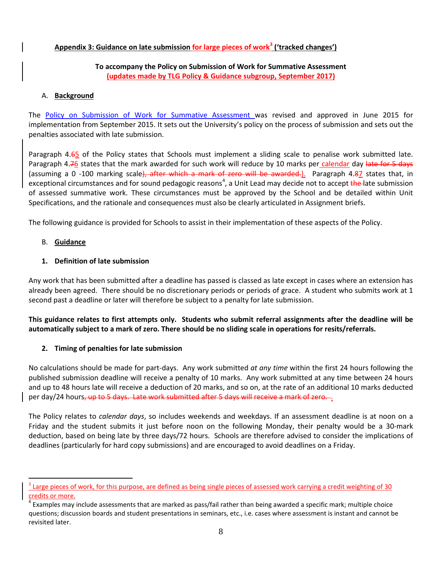## **Appendix 3: Guidance on late submission for large pieces of work[3](#page-7-0) ('tracked changes')**

### **To accompany the Policy on Submission of Work for Summative Assessment (updates made by TLG Policy & Guidance subgroup, September 2017)**

### A. **Background**

The [Policy on Submission of Work for Summative Assessment w](http://documents.manchester.ac.uk/display.aspx?DocID=24561)as revised and approved in June 2015 for implementation from September 2015. It sets out the University's policy on the process of submission and sets out the penalties associated with late submission.

Paragraph 4.65 of the Policy states that Schools must implement a sliding scale to penalise work submitted late. Paragraph 4.76 states that the mark awarded for such work will reduce by 10 marks per calendar day late for 5 days (assuming a 0 -100 marking scale), after which a mark of zero will be awarded.). Paragraph 4.87 states that, in exceptional circumstances and for sound pedagogic reasons<sup>[4](#page-7-1)</sup>, a Unit Lead may decide not to accept the late submission of assessed summative work. These circumstances must be approved by the School and be detailed within Unit Specifications, and the rationale and consequences must also be clearly articulated in Assignment briefs.

The following guidance is provided for Schools to assist in their implementation of these aspects of the Policy.

## B. **Guidance**

## **1. Definition of late submission**

Any work that has been submitted after a deadline has passed is classed as late except in cases where an extension has already been agreed. There should be no discretionary periods or periods of grace. A student who submits work at 1 second past a deadline or later will therefore be subject to a penalty for late submission.

**This guidance relates to first attempts only. Students who submit referral assignments after the deadline will be automatically subject to a mark of zero. There should be no sliding scale in operations for resits/referrals.**

### **2. Timing of penalties for late submission**

No calculations should be made for part-days. Any work submitted *at any time* within the first 24 hours following the published submission deadline will receive a penalty of 10 marks. Any work submitted at any time between 24 hours and up to 48 hours late will receive a deduction of 20 marks, and so on, at the rate of an additional 10 marks deducted per day/24 hours, up to 5 days. Late work submitted after 5 days will receive a mark of zero...

The Policy relates to *calendar days*, so includes weekends and weekdays. If an assessment deadline is at noon on a Friday and the student submits it just before noon on the following Monday, their penalty would be a 30-mark deduction, based on being late by three days/72 hours. Schools are therefore advised to consider the implications of deadlines (particularly for hard copy submissions) and are encouraged to avoid deadlines on a Friday.

<span id="page-7-0"></span>Large pieces of work, for this purpose, are defined as being single pieces of assessed work carrying a credit weighting of 30 credits or more.

<span id="page-7-1"></span><sup>4</sup> Examples may include assessments that are marked as pass/fail rather than being awarded a specific mark; multiple choice questions; discussion boards and student presentations in seminars, etc., i.e. cases where assessment is instant and cannot be revisited later.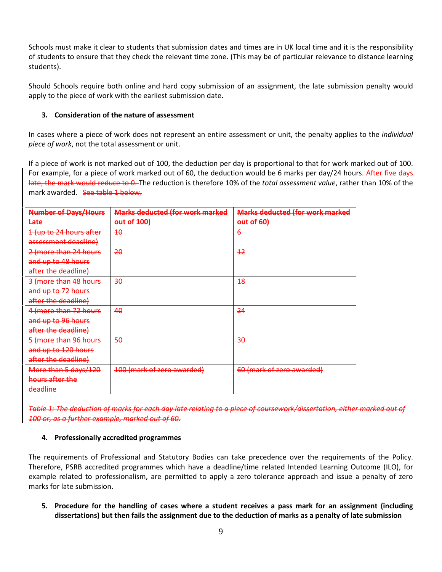Schools must make it clear to students that submission dates and times are in UK local time and it is the responsibility of students to ensure that they check the relevant time zone. (This may be of particular relevance to distance learning students).

Should Schools require both online and hard copy submission of an assignment, the late submission penalty would apply to the piece of work with the earliest submission date.

## **3. Consideration of the nature of assessment**

In cases where a piece of work does not represent an entire assessment or unit, the penalty applies to the *individual piece of work*, not the total assessment or unit.

If a piece of work is not marked out of 100, the deduction per day is proportional to that for work marked out of 100. For example, for a piece of work marked out of 60, the deduction would be 6 marks per day/24 hours. After five days late, the mark would reduce to 0. The reduction is therefore 10% of the *total assessment value*, rather than 10% of the mark awarded. See table 1 below.

| <b>Number of Days/Hours</b> | <b>Marks deducted (for work marked</b> | <b>Marks deducted (for work marked</b> |
|-----------------------------|----------------------------------------|----------------------------------------|
| Late                        | out of 100)                            | out of 60)                             |
| 1 (up to 24 hours after     | 10                                     | $\epsilon$                             |
| assessment deadline)        |                                        |                                        |
| 2 (more than 24 hours       | 20                                     | 42                                     |
| and up to 48 hours          |                                        |                                        |
| after the deadline)         |                                        |                                        |
| 3 (more than 48 hours       | 30                                     | 48                                     |
| and up to 72 hours          |                                        |                                        |
| after the deadline)         |                                        |                                        |
| 4 (more than 72 hours       | 40                                     | 24                                     |
| and up to 96 hours          |                                        |                                        |
| after the deadline)         |                                        |                                        |
| 5 (more than 96 hours       | 50                                     | <del>30</del>                          |
| and up to 120 hours         |                                        |                                        |
| after the deadline)         |                                        |                                        |
| More than 5 days/120        | 100 (mark of zero awarded)             | 60 (mark of zero awarded)              |
| hours after the             |                                        |                                        |
| deadline                    |                                        |                                        |

*Table 1: The deduction of marks for each day late relating to a piece of coursework/dissertation, either marked out of 100 or, as a further example, marked out of 60.*

### **4. Professionally accredited programmes**

The requirements of Professional and Statutory Bodies can take precedence over the requirements of the Policy. Therefore, PSRB accredited programmes which have a deadline/time related Intended Learning Outcome (ILO), for example related to professionalism, are permitted to apply a zero tolerance approach and issue a penalty of zero marks for late submission.

**5. Procedure for the handling of cases where a student receives a pass mark for an assignment (including dissertations) but then fails the assignment due to the deduction of marks as a penalty of late submission**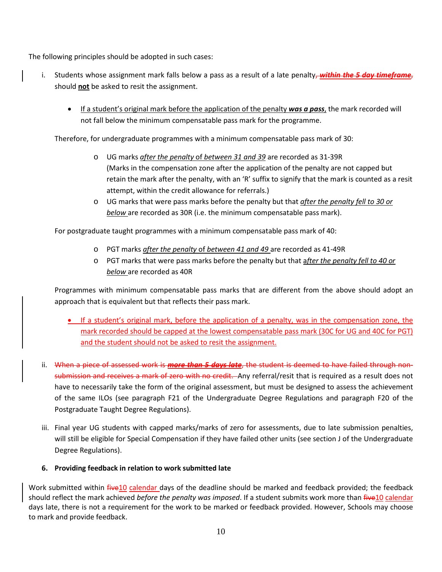The following principles should be adopted in such cases:

- i. Students whose assignment mark falls below a pass as a result of a late penalty, *within the 5 day timeframe*, should **not** be asked to resit the assignment.
	- If a student's original mark before the application of the penalty **was a pass**, the mark recorded will not fall below the minimum compensatable pass mark for the programme.

Therefore, for undergraduate programmes with a minimum compensatable pass mark of 30:

- o UG marks *after the penalty* of *between 31 and 39* are recorded as 31-39R (Marks in the compensation zone after the application of the penalty are not capped but retain the mark after the penalty, with an 'R' suffix to signify that the mark is counted as a resit attempt, within the credit allowance for referrals.)
- o UG marks that were pass marks before the penalty but that *after the penalty fell to 30 or below* are recorded as 30R (i.e. the minimum compensatable pass mark).

For postgraduate taught programmes with a minimum compensatable pass mark of 40:

- o PGT marks *after the penalty* of *between 41 and 49* are recorded as 41-49R
- o PGT marks that were pass marks before the penalty but that a*fter the penalty fell to 40 or below* are recorded as 40R

Programmes with minimum compensatable pass marks that are different from the above should adopt an approach that is equivalent but that reflects their pass mark.

- If a student's original mark, before the application of a penalty, was in the compensation zone, the mark recorded should be capped at the lowest compensatable pass mark (30C for UG and 40C for PGT) and the student should not be asked to resit the assignment.
- ii. When a piece of assessed work is *more than 5 days late*, the student is deemed to have failed through nonsubmission and receives a mark of zero with no credit. Any referral/resit that is required as a result does not have to necessarily take the form of the original assessment, but must be designed to assess the achievement of the same ILOs (see paragraph F21 of the Undergraduate Degree Regulations and paragraph F20 of the Postgraduate Taught Degree Regulations).
- iii. Final year UG students with capped marks/marks of zero for assessments, due to late submission penalties, will still be eligible for Special Compensation if they have failed other units (see section J of the Undergraduate Degree Regulations).

### **6. Providing feedback in relation to work submitted late**

Work submitted within *five10* calendar days of the deadline should be marked and feedback provided; the feedback should reflect the mark achieved *before the penalty was imposed*. If a student submits work more than five10 calendar days late, there is not a requirement for the work to be marked or feedback provided. However, Schools may choose to mark and provide feedback.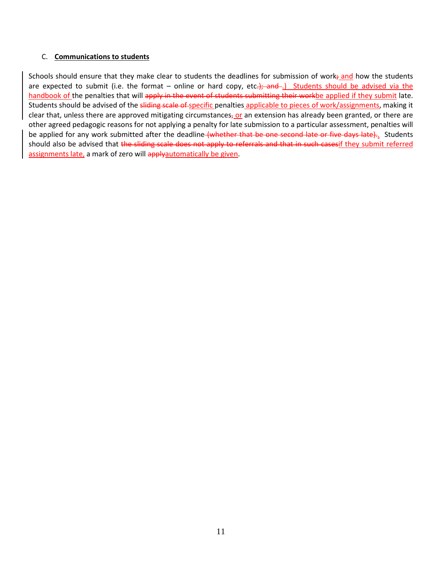### C. **Communications to students**

Schools should ensure that they make clear to students the deadlines for submission of work; and how the students are expected to submit (i.e. the format – online or hard copy, etc.); and ...) Students should be advised via the handbook of the penalties that will apply in the event of students submitting their workbe applied if they submit late. Students should be advised of the sliding scale of specific penalties applicable to pieces of work/assignments, making it clear that, unless there are approved mitigating circumstances<sub>z</sub> or an extension has already been granted, or there are other agreed pedagogic reasons for not applying a penalty for late submission to a particular assessment, penalties will be applied for any work submitted after the deadline (whether that be one second late or five days late).. Students should also be advised that the sliding scale does not apply to referrals and that in such casesif they submit referred assignments late, a mark of zero will applyautomatically be given.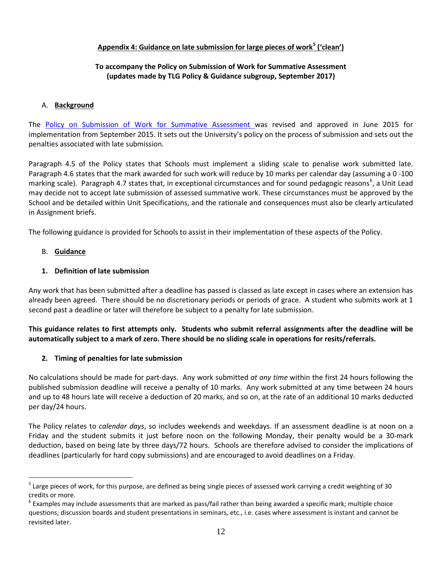## **Appendix 4: Guidance on late submission for large pieces of work[5](#page-11-0) ('clean')**

## **To accompany the Policy on Submission of Work for Summative Assessment (updates made by TLG Policy & Guidance subgroup, September 2017)**

### A. **Background**

The [Policy on Submission of Work for Summative Assessment w](http://documents.manchester.ac.uk/display.aspx?DocID=24561)as revised and approved in June 2015 for implementation from September 2015. It sets out the University's policy on the process of submission and sets out the penalties associated with late submission.

Paragraph 4.5 of the Policy states that Schools must implement a sliding scale to penalise work submitted late. Paragraph 4.6 states that the mark awarded for such work will reduce by 10 marks per calendar day (assuming a 0 -100 marking scale). Paragraph 4.7 states that, in exceptional circumstances and for sound pedagogic reasons<sup>[6](#page-11-1)</sup>, a Unit Lead may decide not to accept late submission of assessed summative work. These circumstances must be approved by the School and be detailed within Unit Specifications, and the rationale and consequences must also be clearly articulated in Assignment briefs.

The following guidance is provided for Schools to assist in their implementation of these aspects of the Policy.

## B. **Guidance**

## **1. Definition of late submission**

Any work that has been submitted after a deadline has passed is classed as late except in cases where an extension has already been agreed. There should be no discretionary periods or periods of grace. A student who submits work at 1 second past a deadline or later will therefore be subject to a penalty for late submission.

**This guidance relates to first attempts only. Students who submit referral assignments after the deadline will be automatically subject to a mark of zero. There should be no sliding scale in operations for resits/referrals.**

## **2. Timing of penalties for late submission**

No calculations should be made for part-days. Any work submitted *at any time* within the first 24 hours following the published submission deadline will receive a penalty of 10 marks. Any work submitted at any time between 24 hours and up to 48 hours late will receive a deduction of 20 marks, and so on, at the rate of an additional 10 marks deducted per day/24 hours.

The Policy relates to *calendar days*, so includes weekends and weekdays. If an assessment deadline is at noon on a Friday and the student submits it just before noon on the following Monday, their penalty would be a 30-mark deduction, based on being late by three days/72 hours. Schools are therefore advised to consider the implications of deadlines (particularly for hard copy submissions) and are encouraged to avoid deadlines on a Friday.

<span id="page-11-0"></span><sup>&</sup>lt;sup>5</sup> Large pieces of work, for this purpose, are defined as being single pieces of assessed work carrying a credit weighting of 30 credits or more.

<span id="page-11-1"></span><sup>&</sup>lt;sup>6</sup> Examples may include assessments that are marked as pass/fail rather than being awarded a specific mark; multiple choice questions; discussion boards and student presentations in seminars, etc., i.e. cases where assessment is instant and cannot be revisited later.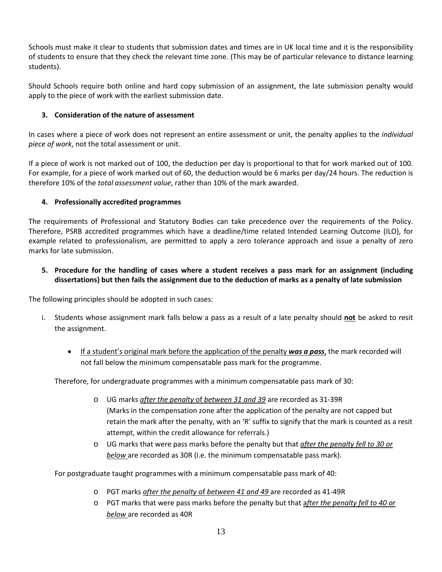Schools must make it clear to students that submission dates and times are in UK local time and it is the responsibility of students to ensure that they check the relevant time zone. (This may be of particular relevance to distance learning students).

Should Schools require both online and hard copy submission of an assignment, the late submission penalty would apply to the piece of work with the earliest submission date.

# **3. Consideration of the nature of assessment**

In cases where a piece of work does not represent an entire assessment or unit, the penalty applies to the *individual piece of work*, not the total assessment or unit.

If a piece of work is not marked out of 100, the deduction per day is proportional to that for work marked out of 100. For example, for a piece of work marked out of 60, the deduction would be 6 marks per day/24 hours. The reduction is therefore 10% of the *total assessment value*, rather than 10% of the mark awarded.

# **4. Professionally accredited programmes**

The requirements of Professional and Statutory Bodies can take precedence over the requirements of the Policy. Therefore, PSRB accredited programmes which have a deadline/time related Intended Learning Outcome (ILO), for example related to professionalism, are permitted to apply a zero tolerance approach and issue a penalty of zero marks for late submission.

# **5. Procedure for the handling of cases where a student receives a pass mark for an assignment (including dissertations) but then fails the assignment due to the deduction of marks as a penalty of late submission**

The following principles should be adopted in such cases:

- i. Students whose assignment mark falls below a pass as a result of a late penalty should **not** be asked to resit the assignment.
	- If a student's original mark before the application of the penalty *was a pass*, the mark recorded will not fall below the minimum compensatable pass mark for the programme.

Therefore, for undergraduate programmes with a minimum compensatable pass mark of 30:

- o UG marks *after the penalty* of *between 31 and 39* are recorded as 31-39R (Marks in the compensation zone after the application of the penalty are not capped but retain the mark after the penalty, with an 'R' suffix to signify that the mark is counted as a resit attempt, within the credit allowance for referrals.)
- o UG marks that were pass marks before the penalty but that *after the penalty fell to 30 or below* are recorded as 30R (i.e. the minimum compensatable pass mark).

For postgraduate taught programmes with a minimum compensatable pass mark of 40:

- o PGT marks *after the penalty* of *between 41 and 49* are recorded as 41-49R
- o PGT marks that were pass marks before the penalty but that a*fter the penalty fell to 40 or below* are recorded as 40R